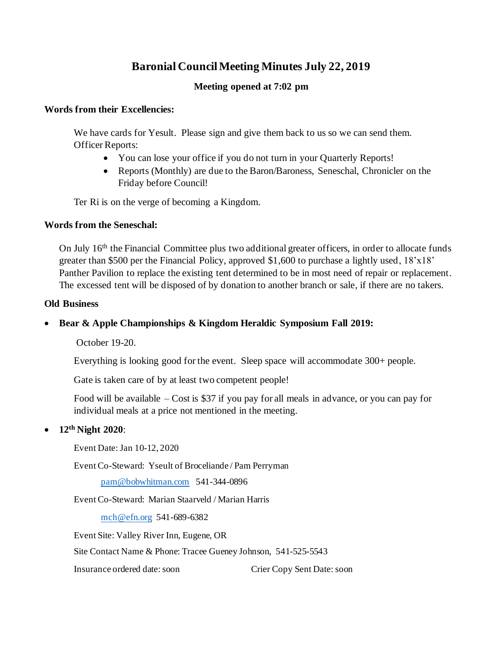# **Baronial Council Meeting Minutes July 22, 2019**

# **Meeting opened at 7:02 pm**

## **Words from their Excellencies:**

We have cards for Yesult. Please sign and give them back to us so we can send them. Officer Reports:

- You can lose your office if you do not turn in your Quarterly Reports!
- Reports (Monthly) are due to the Baron/Baroness, Seneschal, Chronicler on the Friday before Council!

Ter Ri is on the verge of becoming a Kingdom.

## **Words from the Seneschal:**

On July 16<sup>th</sup> the Financial Committee plus two additional greater officers, in order to allocate funds greater than \$500 per the Financial Policy, approved \$1,600 to purchase a lightly used, 18'x18' Panther Pavilion to replace the existing tent determined to be in most need of repair or replacement. The excessed tent will be disposed of by donation to another branch or sale, if there are no takers.

## **Old Business**

# • **Bear & Apple Championships & Kingdom Heraldic Symposium Fall 2019:**

October 19-20.

Everything is looking good for the event. Sleep space will accommodate 300+ people.

Gate is taken care of by at least two competent people!

Food will be available – Cost is \$37 if you pay for all meals in advance, or you can pay for individual meals at a price not mentioned in the meeting.

## • **12th Night 2020**:

Event Date: Jan 10-12, 2020

Event Co-Steward: Yseult of Broceliande / Pam Perryman

pam@bobwhitman.com 541-344-0896

Event Co-Steward: Marian Staarveld / Marian Harris

mch@efn.org 541-689-6382

Event Site: Valley River Inn, Eugene, OR

Site Contact Name & Phone: Tracee Gueney Johnson, 541-525-5543

Insurance ordered date: soon Crier Copy Sent Date: soon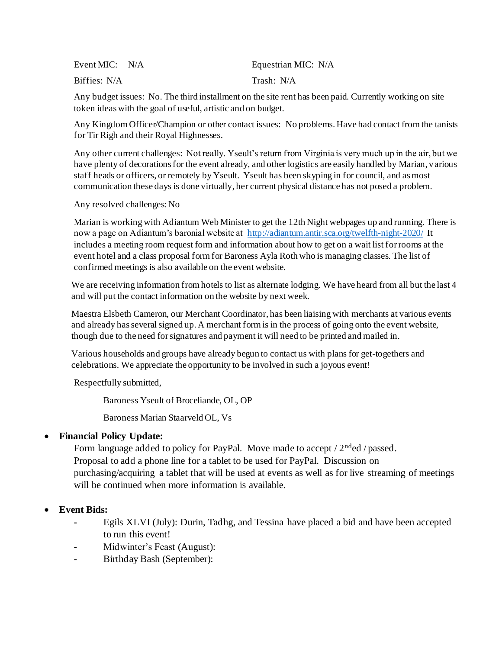| Event MIC: $N/A$ | Equestrian MIC: N/A |
|------------------|---------------------|
| Biffies: N/A     | Trash: N/A          |

Any budget issues: No. The third installment on the site rent has been paid. Currently working on site token ideas with the goal of useful, artistic and on budget.

Any Kingdom Officer/Champion or other contact issues: No problems. Have had contact from the tanists for Tir Righ and their Royal Highnesses.

Any other current challenges: Not really. Yseult's return from Virginia is very much up in the air, but we have plenty of decorations for the event already, and other logistics are easily handled by Marian, various staff heads or officers, or remotely by Yseult. Yseult has been skyping in for council, and as most communication these days is done virtually, her current physical distance has not posed a problem.

Any resolved challenges: No

Marian is working with Adiantum Web Minister to get the 12th Night webpages up and running. There is now a page on Adiantum's baronial website at http://adiantum.antir.sca.org/twelfth-night-2020/ It includes a meeting room request form and information about how to get on a wait list for rooms at the event hotel and a class proposal form for Baroness Ayla Roth who is managing classes. The list of confirmed meetings is also available on the event website.

We are receiving information from hotels to list as alternate lodging. We have heard from all but the last 4 and will put the contact information on the website by next week.

Maestra Elsbeth Cameron, our Merchant Coordinator, has been liaising with merchants at various events and already has several signed up. A merchant form is in the process of going onto the event website, though due to the need for signatures and payment it will need to be printed and mailed in.

Various households and groups have already begun to contact us with plans for get-togethers and celebrations. We appreciate the opportunity to be involved in such a joyous event!

Respectfully submitted,

Baroness Yseult of Broceliande, OL, OP

Baroness Marian Staarveld OL, Vs

# • **Financial Policy Update:**

Form language added to policy for PayPal. Move made to accept  $/2^{\text{nd}}$ ed  $/$  passed. Proposal to add a phone line for a tablet to be used for PayPal. Discussion on purchasing/acquiring a tablet that will be used at events as well as for live streaming of meetings will be continued when more information is available.

# • **Event Bids:**

- **-** Egils XLVI (July): Durin, Tadhg, and Tessina have placed a bid and have been accepted to run this event!
- **-** Midwinter's Feast (August):
- **-** Birthday Bash (September):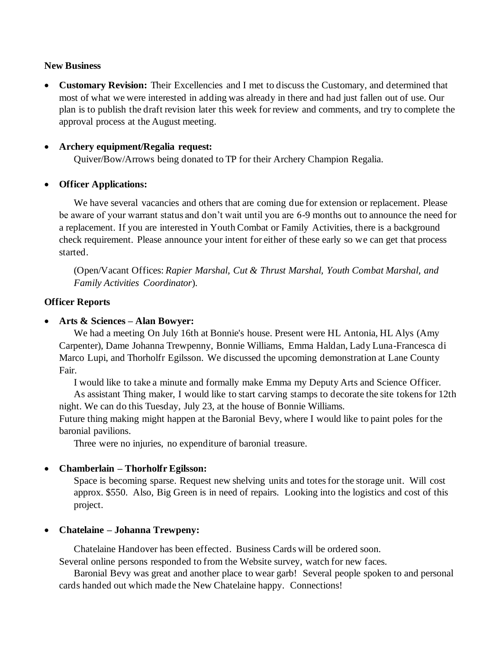## **New Business**

• **Customary Revision:** Their Excellencies and I met to discuss the Customary, and determined that most of what we were interested in adding was already in there and had just fallen out of use. Our plan is to publish the draft revision later this week for review and comments, and try to complete the approval process at the August meeting.

## • **Archery equipment/Regalia request:**

Quiver/Bow/Arrows being donated to TP for their Archery Champion Regalia.

#### • **Officer Applications:**

We have several vacancies and others that are coming due for extension or replacement. Please be aware of your warrant status and don't wait until you are 6-9 months out to announce the need for a replacement. If you are interested in Youth Combat or Family Activities, there is a background check requirement. Please announce your intent for either of these early so we can get that process started.

(Open/Vacant Offices: *Rapier Marshal, Cut & Thrust Marshal, Youth Combat Marshal, and Family Activities Coordinator*).

#### **Officer Reports**

#### • **Arts & Sciences – Alan Bowyer:**

We had a meeting On July 16th at Bonnie's house. Present were HL Antonia, HL Alys (Amy Carpenter), Dame Johanna Trewpenny, Bonnie Williams, Emma Haldan, Lady Luna-Francesca di Marco Lupi, and Thorholfr Egilsson. We discussed the upcoming demonstration at Lane County Fair.

I would like to take a minute and formally make Emma my Deputy Arts and Science Officer.

As assistant Thing maker, I would like to start carving stamps to decorate the site tokens for 12th night. We can do this Tuesday, July 23, at the house of Bonnie Williams.

Future thing making might happen at the Baronial Bevy, where I would like to paint poles for the baronial pavilions.

Three were no injuries, no expenditure of baronial treasure.

## • **Chamberlain – Thorholfr Egilsson:**

Space is becoming sparse. Request new shelving units and totes for the storage unit. Will cost approx. \$550. Also, Big Green is in need of repairs. Looking into the logistics and cost of this project.

## • **Chatelaine – Johanna Trewpeny:**

Chatelaine Handover has been effected. Business Cards will be ordered soon.

Several online persons responded to from the Website survey, watch for new faces.

Baronial Bevy was great and another place to wear garb! Several people spoken to and personal cards handed out which made the New Chatelaine happy. Connections!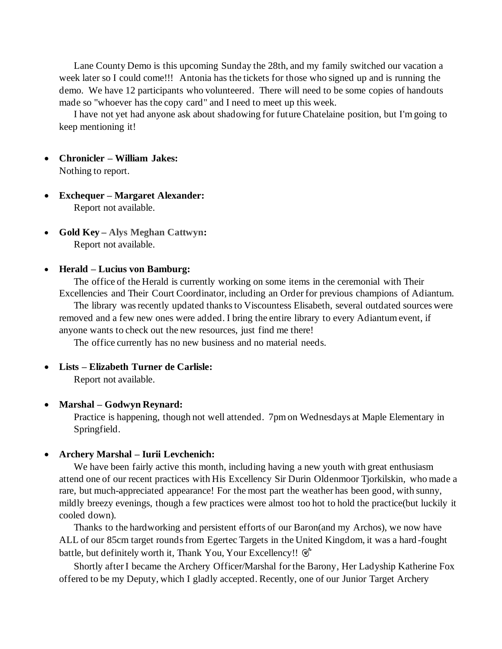Lane County Demo is this upcoming Sunday the 28th, and my family switched our vacation a week later so I could come!!! Antonia has the tickets for those who signed up and is running the demo. We have 12 participants who volunteered. There will need to be some copies of handouts made so "whoever has the copy card" and I need to meet up this week.

I have not yet had anyone ask about shadowing for future Chatelaine position, but I'm going to keep mentioning it!

- **Chronicler – William Jakes:**  Nothing to report.
- **Exchequer – Margaret Alexander:**  Report not available.
- **Gold Key – Alys Meghan Cattwyn:**  Report not available.

#### • **Herald – Lucius von Bamburg:**

The office of the Herald is currently working on some items in the ceremonial with Their Excellencies and Their Court Coordinator, including an Order for previous champions of Adiantum.

The library was recently updated thanks to Viscountess Elisabeth, several outdated sources were removed and a few new ones were added. I bring the entire library to every Adiantum event, if anyone wants to check out the new resources, just find me there!

The office currently has no new business and no material needs.

• **Lists – Elizabeth Turner de Carlisle:**

Report not available.

#### • **Marshal – Godwyn Reynard:**

Practice is happening, though not well attended. 7pm on Wednesdays at Maple Elementary in Springfield.

#### • **Archery Marshal – Iurii Levchenich:**

We have been fairly active this month, including having a new youth with great enthusiasm attend one of our recent practices with His Excellency Sir Durin Oldenmoor Tjorkilskin, who made a rare, but much-appreciated appearance! For the most part the weather has been good, with sunny, mildly breezy evenings, though a few practices were almost too hot to hold the practice(but luckily it cooled down).

Thanks to the hardworking and persistent efforts of our Baron(and my Archos), we now have ALL of our 85cm target rounds from Egertec Targets in the United Kingdom, it was a hard -fought battle, but definitely worth it, Thank You, Your Excellency!!  $\mathfrak{G}^*$ 

Shortly after I became the Archery Officer/Marshal for the Barony, Her Ladyship Katherine Fox offered to be my Deputy, which I gladly accepted. Recently, one of our Junior Target Archery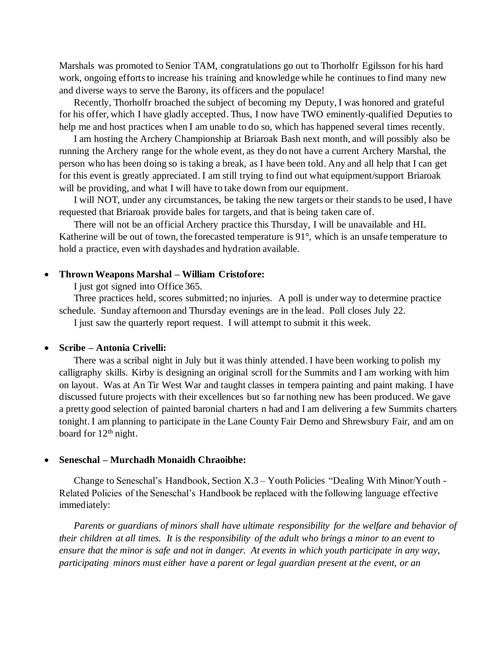Marshals was promoted to Senior TAM, congratulations go out to Thorholfr Egilsson for his hard work, ongoing efforts to increase his training and knowledge while he continues to find many new and diverse ways to serve the Barony, its officers and the populace!

Recently, Thorholfr broached the subject of becoming my Deputy, I was honored and grateful for his offer, which I have gladly accepted. Thus, I now have TWO eminently-qualified Deputies to help me and host practices when I am unable to do so, which has happened several times recently.

I am hosting the Archery Championship at Briaroak Bash next month, and will possibly also be running the Archery range for the whole event, as they do not have a current Archery Marshal, the person who has been doing so is taking a break, as I have been told. Any and all help that I can get for this event is greatly appreciated. I am still trying to find out what equipment/support Briaroak will be providing, and what I will have to take down from our equipment.

I will NOT, under any circumstances, be taking the new targets or their stands to be used, I have requested that Briaroak provide bales for targets, and that is being taken care of.

There will not be an official Archery practice this Thursday, I will be unavailable and HL Katherine will be out of town, the forecasted temperature is 91°, which is an unsafe temperature to hold a practice, even with dayshades and hydration available.

#### • **Thrown Weapons Marshal – William Cristofore:**

I just got signed into Office 365.

Three practices held, scores submitted; no injuries. A poll is under way to determine practice schedule. Sunday afternoon and Thursday evenings are in the lead. Poll closes July 22. I just saw the quarterly report request. I will attempt to submit it this week.

#### • **Scribe – Antonia Crivelli:**

There was a scribal night in July but it was thinly attended. I have been working to polish my calligraphy skills. Kirby is designing an original scroll for the Summits and I am working with him on layout. Was at An Tir West War and taught classes in tempera painting and paint making. I have discussed future projects with their excellences but so far nothing new has been produced. We gave a pretty good selection of painted baronial charters n had and I am delivering a few Summits charters tonight. I am planning to participate in the Lane County Fair Demo and Shrewsbury Fair, and am on board for 12<sup>th</sup> night.

#### • **Seneschal – Murchadh Monaidh Chraoibhe:**

Change to Seneschal's Handbook, Section X.3 – Youth Policies "Dealing With Minor/Youth - Related Policies of the Seneschal's Handbook be replaced with the following language effective immediately:

*Parents or guardians of minors shall have ultimate responsibility for the welfare and behavior of their children at all times. It is the responsibility of the adult who brings a minor to an event to ensure that the minor is safe and not in danger. At events in which youth participate in any way, participating minors must either have a parent or legal guardian present at the event, or an*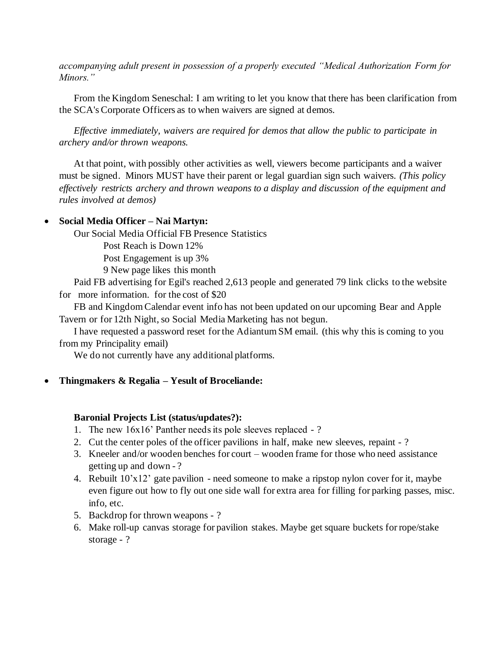*accompanying adult present in possession of a properly executed "Medical Authorization Form for Minors."*

From the Kingdom Seneschal: I am writing to let you know that there has been clarification from the SCA's Corporate Officers as to when waivers are signed at demos.

*Effective immediately, waivers are required for demos that allow the public to participate in archery and/or thrown weapons.*

At that point, with possibly other activities as well, viewers become participants and a waiver must be signed. Minors MUST have their parent or legal guardian sign such waivers. *(This policy effectively restricts archery and thrown weapons to a display and discussion of the equipment and rules involved at demos)*

## • **Social Media Officer – Nai Martyn:**

Our Social Media Official FB Presence Statistics

Post Reach is Down 12%

Post Engagement is up 3%

9 New page likes this month

Paid FB advertising for Egil's reached 2,613 people and generated 79 link clicks to the website for more information. for the cost of \$20

FB and Kingdom Calendar event info has not been updated on our upcoming Bear and Apple Tavern or for 12th Night, so Social Media Marketing has not begun.

I have requested a password reset for the Adiantum SM email. (this why this is coming to you from my Principality email)

We do not currently have any additional platforms.

• **Thingmakers & Regalia – Yesult of Broceliande:** 

#### **Baronial Projects List (status/updates?):**

- 1. The new 16x16' Panther needs its pole sleeves replaced ?
- 2. Cut the center poles of the officer pavilions in half, make new sleeves, repaint ?
- 3. Kneeler and/or wooden benches for court wooden frame for those who need assistance getting up and down - ?
- 4. Rebuilt 10'x12' gate pavilion need someone to make a ripstop nylon cover for it, maybe even figure out how to fly out one side wall for extra area for filling for parking passes, misc. info, etc.
- 5. Backdrop for thrown weapons ?
- 6. Make roll-up canvas storage for pavilion stakes. Maybe get square buckets for rope/stake storage - ?